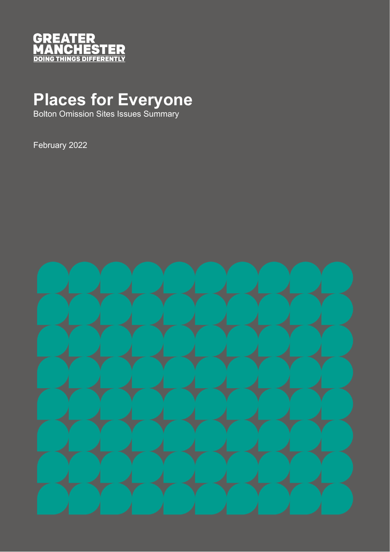

## **Places for Everyone**

Bolton Omission Sites Issues Summary

February 2022

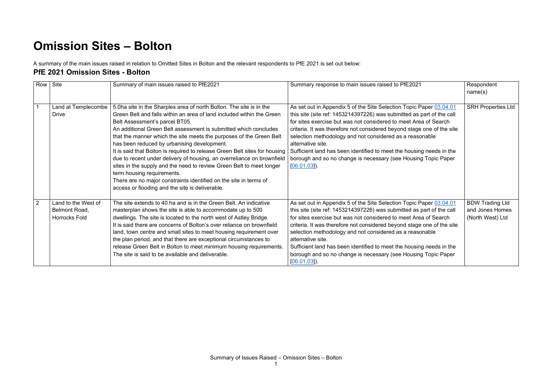## **Omission Sites – Bolton**

A summary of the main issues raised in relation to Omitted Sites in Bolton and the relevant respondents to PfE 2021 is set out below:

## **PfE 2021 Omission Sites - Bolton**

|   | Row Site                                                     | Summary of main issues raised to PfE2021                                                                                                                                                                                                                                                                                                                                                                                                                                                                                                                                                                                                                                                                                                                       | Summary response to main issues raised to PfE2021                                                                                                                                                                                                                                                                                                                                                                                                                                                                                       | Respondent<br>name(s)                                         |
|---|--------------------------------------------------------------|----------------------------------------------------------------------------------------------------------------------------------------------------------------------------------------------------------------------------------------------------------------------------------------------------------------------------------------------------------------------------------------------------------------------------------------------------------------------------------------------------------------------------------------------------------------------------------------------------------------------------------------------------------------------------------------------------------------------------------------------------------------|-----------------------------------------------------------------------------------------------------------------------------------------------------------------------------------------------------------------------------------------------------------------------------------------------------------------------------------------------------------------------------------------------------------------------------------------------------------------------------------------------------------------------------------------|---------------------------------------------------------------|
|   | Land at Templecombe<br><b>Drive</b>                          | 5.0ha site in the Sharples area of north Bolton. The site is in the<br>Green Belt and falls within an area of land included within the Green<br>Belt Assessment's parcel BT05.<br>An additional Green Belt assessment is submitted which concludes<br>that the manner which the site meets the purposes of the Green Belt<br>has been reduced by urbanising development.<br>It is said that Bolton is required to release Green Belt sites for housing<br>due to recent under delivery of housing, an overreliance on brownfield<br>sites in the supply and the need to review Green Belt to meet longer<br>term housing requirements.<br>There are no major constraints identified on the site in terms of<br>access or flooding and the site is deliverable. | As set out in Appendix 5 of the Site Selection Topic Paper 03.04.01<br>this site (site ref: 1453214397226) was submitted as part of the call<br>for sites exercise but was not considered to meet Area of Search<br>criteria. It was therefore not considered beyond stage one of the site<br>selection methodology and not considered as a reasonable<br>alternative site.<br>Sufficient land has been identified to meet the housing needs in the<br>borough and so no change is necessary (see Housing Topic Paper<br>$[06.01.03]$ . | <b>SRH Properties Ltd</b>                                     |
| 2 | Land to the West of<br>Belmont Road,<br><b>Horrocks Fold</b> | The site extends to 40 ha and is in the Green Belt. An indicative<br>masterplan shows the site is able to accommodate up to 500<br>dwellings. The site is located to the north west of Astley Bridge.<br>It is said there are concerns of Bolton's over reliance on brownfield<br>land, town centre and small sites to meet housing requirement over<br>the plan period, and that there are exceptional circumstances to<br>release Green Belt in Bolton to meet minimum housing requirements.<br>The site is said to be available and deliverable.                                                                                                                                                                                                            | As set out in Appendix 5 of the Site Selection Topic Paper 03.04.01<br>this site (site ref: 1453214397226) was submitted as part of the call<br>for sites exercise but was not considered to meet Area of Search<br>criteria. It was therefore not considered beyond stage one of the site<br>selection methodology and not considered as a reasonable<br>alternative site.<br>Sufficient land has been identified to meet the housing needs in the<br>borough and so no change is necessary (see Housing Topic Paper<br>$[06.01.03]$ . | <b>BDW Trading Ltd</b><br>and Jones Homes<br>(North West) Ltd |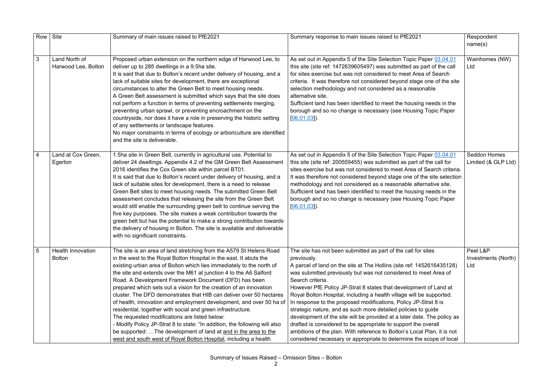| Row             | Site                                      | Summary of main issues raised to PfE2021                                                                                                                                                                                                                                                                                                                                                                                                                                                                                                                                                                                                                                                                                                                                                                                                                                                                 | Summary response to main issues raised to PfE2021                                                                                                                                                                                                                                                                                                                                                                                                                                                                                                                                                                                                                                                                                                                                                                           | Respondent<br>name(s)                      |
|-----------------|-------------------------------------------|----------------------------------------------------------------------------------------------------------------------------------------------------------------------------------------------------------------------------------------------------------------------------------------------------------------------------------------------------------------------------------------------------------------------------------------------------------------------------------------------------------------------------------------------------------------------------------------------------------------------------------------------------------------------------------------------------------------------------------------------------------------------------------------------------------------------------------------------------------------------------------------------------------|-----------------------------------------------------------------------------------------------------------------------------------------------------------------------------------------------------------------------------------------------------------------------------------------------------------------------------------------------------------------------------------------------------------------------------------------------------------------------------------------------------------------------------------------------------------------------------------------------------------------------------------------------------------------------------------------------------------------------------------------------------------------------------------------------------------------------------|--------------------------------------------|
| $\mathfrak{B}$  | Land North of<br>Harwood Lee, Bolton      | Proposed urban extension on the northern edge of Harwood Lee, to<br>deliver up to 285 dwellings in a 9.5ha site.<br>It is said that due to Bolton's recent under delivery of housing, and a<br>lack of suitable sites for development, there are exceptional<br>circumstances to alter the Green Belt to meet housing needs.<br>A Green Belt assessment is submitted which says that the site does<br>not perform a function in terms of preventing settlements merging,<br>preventing urban sprawl, or preventing encroachment on the<br>countryside, nor does it have a role in preserving the historic setting<br>of any settlements or landscape features.<br>No major constraints in terms of ecology or arboriculture are identified<br>and the site is deliverable.                                                                                                                               | As set out in Appendix 5 of the Site Selection Topic Paper 03.04.01<br>this site (site ref: 1472639605497) was submitted as part of the call<br>for sites exercise but was not considered to meet Area of Search<br>criteria. It was therefore not considered beyond stage one of the site<br>selection methodology and not considered as a reasonable<br>alternative site.<br>Sufficient land has been identified to meet the housing needs in the<br>borough and so no change is necessary (see Housing Topic Paper<br>$[06.01.03]$ .                                                                                                                                                                                                                                                                                     | Wainhomes (NW)<br>Ltd                      |
| 4               | Land at Cox Green,<br>Egerton             | 1.5ha site in Green Belt, currently in agricultural use. Potential to<br>deliver 24 dwellings. Appendix 4.2 of the GM Green Belt Assessment<br>2016 identifies the Cox Green site within parcel BT01.<br>It is said that due to Bolton's recent under delivery of housing, and a<br>lack of suitable sites for development, there is a need to release<br>Green Belt sites to meet housing needs. The submitted Green Belt<br>assessment concludes that releasing the site from the Green Belt<br>would still enable the surrounding green belt to continue serving the<br>five key purposes. The site makes a weak contribution towards the<br>green belt but has the potential to make a strong contribution towards<br>the delivery of housing in Bolton. The site is available and deliverable<br>with no significant constraints.                                                                   | As set out in Appendix 5 of the Site Selection Topic Paper 03.04.01<br>this site (site ref: 200559455) was submitted as part of the call for<br>sites exercise but was not considered to meet Area of Search criteria.<br>It was therefore not considered beyond stage one of the site selection<br>methodology and not considered as a reasonable alternative site.<br>Sufficient land has been identified to meet the housing needs in the<br>borough and so no change is necessary (see Housing Topic Paper<br>$[06.01.03]$ .                                                                                                                                                                                                                                                                                            | <b>Seddon Homes</b><br>Limited (& GLP Ltd) |
| $5\phantom{.0}$ | <b>Health Innovation</b><br><b>Bolton</b> | The site is an area of land stretching from the A579 St Helens Road<br>in the west to the Royal Bolton Hospital in the east. It abuts the<br>existing urban area of Bolton which lies immediately to the north of<br>the site and extends over the M61 at junction 4 to the A6 Salford<br>Road. A Development Framework Document (DFD) has been<br>prepared which sets out a vision for the creation of an innovation<br>cluster. The DFD demonstrates that HIB can deliver over 50 hectares<br>of health, innovation and employment development, and over 50 ha of<br>residential, together with social and green infrastructure.<br>The requested modifications are listed below:<br>- Modify Policy JP-Strat 8 to state: "In addition, the following will also<br>be supported: The development of land at and in the area to the<br>west and south west of Royal Bolton Hospital, including a health | The site has not been submitted as part of the call for sites<br>previously.<br>A parcel of land on the site at The Hollins (site ref: 1452616435128)<br>was submitted previously but was not considered to meet Area of<br>Search criteria.<br>However PfE Policy JP-Strat 8 states that development of Land at<br>Royal Bolton Hospital, including a health village will be supported.<br>In response to the proposed modifications, Policy JP-Strat 8 is<br>strategic nature, and as such more detailed policies to guide<br>development of the site will be provided at a later date. The policy as<br>drafted is considered to be appropriate to support the overall<br>ambitions of the plan. With reference to Bolton's Local Plan, it is not<br>considered necessary or appropriate to determine the scope of local | Peel L&P<br>Investments (North)<br>Ltd     |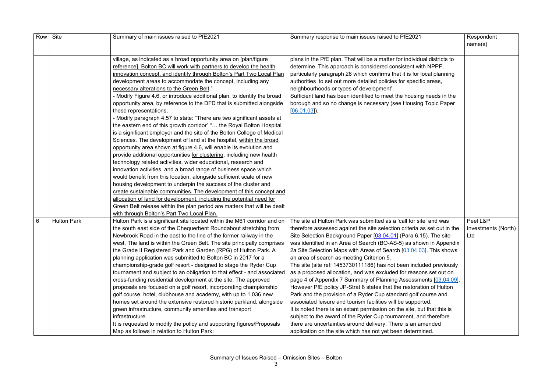| Row Site |                    | Summary of main issues raised to PfE2021                                                                                                                                                                                                                                                                                                                                                                                                                                                                                                                                                                                                                                                                                                                                                                                                                                                                                                                                                                                                                                                                                                                                                                                                                                                                                                                                                                                                                                                                                  | Summary response to main issues raised to PfE2021                                                                                                                                                                                                                                                                                                                                                                                                                                                                                                                                                                                                                                                                                                                                                                                                                                                                                                                                                                                                                                                                | Respondent<br>name(s)                  |
|----------|--------------------|---------------------------------------------------------------------------------------------------------------------------------------------------------------------------------------------------------------------------------------------------------------------------------------------------------------------------------------------------------------------------------------------------------------------------------------------------------------------------------------------------------------------------------------------------------------------------------------------------------------------------------------------------------------------------------------------------------------------------------------------------------------------------------------------------------------------------------------------------------------------------------------------------------------------------------------------------------------------------------------------------------------------------------------------------------------------------------------------------------------------------------------------------------------------------------------------------------------------------------------------------------------------------------------------------------------------------------------------------------------------------------------------------------------------------------------------------------------------------------------------------------------------------|------------------------------------------------------------------------------------------------------------------------------------------------------------------------------------------------------------------------------------------------------------------------------------------------------------------------------------------------------------------------------------------------------------------------------------------------------------------------------------------------------------------------------------------------------------------------------------------------------------------------------------------------------------------------------------------------------------------------------------------------------------------------------------------------------------------------------------------------------------------------------------------------------------------------------------------------------------------------------------------------------------------------------------------------------------------------------------------------------------------|----------------------------------------|
|          |                    | village, as indicated as a broad opportunity area on [plan/figure]<br>reference]. Bolton BC will work with partners to develop the health<br>innovation concept, and identify through Bolton's Part Two Local Plan<br>development areas to accommodate the concept, including any<br>necessary alterations to the Green Belt."<br>- Modify Figure 4.6, or introduce additional plan, to identify the broad<br>opportunity area, by reference to the DFD that is submitted alongside<br>these representations.<br>- Modify paragraph 4.57 to state: "There are two significant assets at<br>the eastern end of this growth corridor" " the Royal Bolton Hospital<br>is a significant employer and the site of the Bolton College of Medical<br>Sciences. The development of land at the hospital, within the broad<br>opportunity area shown at figure 4.6, will enable its evolution and<br>provide additional opportunities for clustering, including new health<br>technology related activities, wider educational, research and<br>innovation activities, and a broad range of business space which<br>would benefit from this location, alongside sufficient scale of new<br>housing development to underpin the success of the cluster and<br>create sustainable communities. The development of this concept and<br>allocation of land for development, including the potential need for<br>Green Belt release within the plan period are matters that will be dealt<br>with through Bolton's Part Two Local Plan. | plans in the PfE plan. That will be a matter for individual districts to<br>determine. This approach is considered consistent with NPPF,<br>particularly paragraph 28 which confirms that it is for local planning<br>authorities 'to set out more detailed policies for specific areas,<br>neighbourhoods or types of development'.<br>Sufficient land has been identified to meet the housing needs in the<br>borough and so no change is necessary (see Housing Topic Paper<br>[06.01.03]                                                                                                                                                                                                                                                                                                                                                                                                                                                                                                                                                                                                                     |                                        |
| 6        | <b>Hulton Park</b> | Hulton Park is a significant site located within the M61 corridor and on<br>the south east side of the Chequerbent Roundabout stretching from<br>Newbrook Road in the east to the line of the former railway in the<br>west. The land is within the Green Belt. The site principally comprises<br>the Grade II Registered Park and Garden (RPG) of Hulton Park. A<br>planning application was submitted to Bolton BC in 2017 for a<br>championship-grade golf resort - designed to stage the Ryder Cup<br>tournament and subject to an obligation to that effect - and associated<br>cross-funding residential development at the site. The approved<br>proposals are focused on a golf resort, incorporating championship<br>golf course, hotel, clubhouse and academy, with up to 1,036 new<br>homes set around the extensive restored historic parkland, alongside<br>green infrastructure, community amenities and transport<br>infrastructure.<br>It is requested to modify the policy and supporting figures/Proposals<br>Map as follows in relation to Hulton Park:                                                                                                                                                                                                                                                                                                                                                                                                                                                | The site at Hulton Park was submitted as a 'call for site' and was<br>therefore assessed against the site selection criteria as set out in the<br>Site Selection Background Paper [03.04.01] (Para 6.15). The site<br>was identified in an Area of Search (BO-AS-5) as shown in Appendix<br>2a Site Selection Maps with Areas of Search [03.04.03]. This shows<br>an area of search as meeting Criterion 5.<br>The site (site ref: 1453730111186) has not been included previously<br>as a proposed allocation, and was excluded for reasons set out on<br>page 4 of Appendix 7 Summary of Planning Assessments [03.04.09].<br>However PfE policy JP-Strat 8 states that the restoration of Hulton<br>Park and the provision of a Ryder Cup standard golf course and<br>associated leisure and tourism facilities will be supported.<br>It is noted there is an extant permission on the site, but that this is<br>subject to the award of the Ryder Cup tournament, and therefore<br>there are uncertainties around delivery. There is an amended<br>application on the site which has not yet been determined. | Peel L&P<br>Investments (North)<br>Ltd |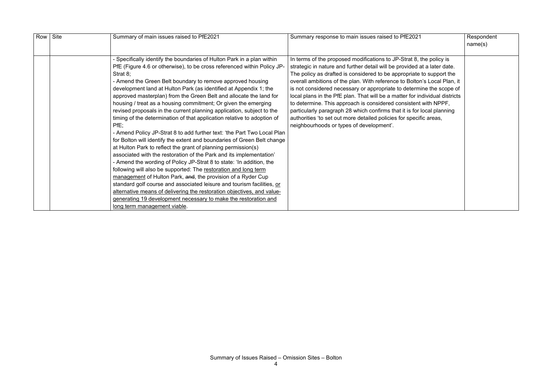| Row Site | Summary of main issues raised to PfE2021                                | Summary response to main issues raised to PfE2021                           | Respondent |
|----------|-------------------------------------------------------------------------|-----------------------------------------------------------------------------|------------|
|          |                                                                         |                                                                             | name(s)    |
|          |                                                                         |                                                                             |            |
|          | - Specifically identify the boundaries of Hulton Park in a plan within  | In terms of the proposed modifications to JP-Strat 8, the policy is         |            |
|          | PfE (Figure 4.6 or otherwise), to be cross referenced within Policy JP- | strategic in nature and further detail will be provided at a later date.    |            |
|          | Strat $8$ ;                                                             | The policy as drafted is considered to be appropriate to support the        |            |
|          | - Amend the Green Belt boundary to remove approved housing              | overall ambitions of the plan. With reference to Bolton's Local Plan, it    |            |
|          | development land at Hulton Park (as identified at Appendix 1; the       | is not considered necessary or appropriate to determine the scope of        |            |
|          | approved masterplan) from the Green Belt and allocate the land for      | local plans in the PfE plan. That will be a matter for individual districts |            |
|          | housing / treat as a housing commitment; Or given the emerging          | to determine. This approach is considered consistent with NPPF,             |            |
|          | revised proposals in the current planning application, subject to the   | particularly paragraph 28 which confirms that it is for local planning      |            |
|          | timing of the determination of that application relative to adoption of | authorities 'to set out more detailed policies for specific areas,          |            |
|          | $PfE$ ;                                                                 | neighbourhoods or types of development'.                                    |            |
|          | - Amend Policy JP-Strat 8 to add further text: 'the Part Two Local Plan |                                                                             |            |
|          | for Bolton will identify the extent and boundaries of Green Belt change |                                                                             |            |
|          | at Hulton Park to reflect the grant of planning permission(s)           |                                                                             |            |
|          | associated with the restoration of the Park and its implementation'     |                                                                             |            |
|          | - Amend the wording of Policy JP-Strat 8 to state: 'In addition, the    |                                                                             |            |
|          | following will also be supported: The restoration and long term         |                                                                             |            |
|          | management of Hulton Park, and, the provision of a Ryder Cup            |                                                                             |            |
|          | standard golf course and associated leisure and tourism facilities, or  |                                                                             |            |
|          | alternative means of delivering the restoration objectives, and value-  |                                                                             |            |
|          | generating 19 development necessary to make the restoration and         |                                                                             |            |
|          | long term management viable.                                            |                                                                             |            |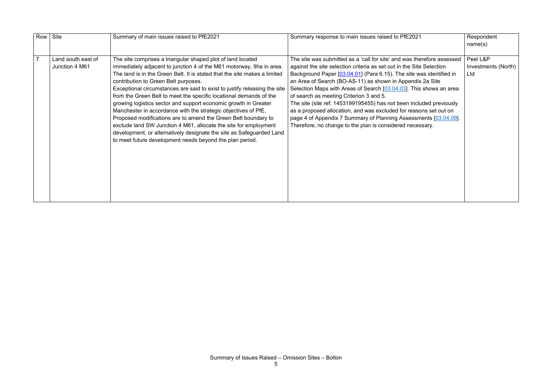| Row | Site                                 | Summary of main issues raised to PfE2021                                                                                                                                                                                                                                                                                                                                                                                                                                                                                                                                                                                                                                                                                                                                                                                   | Summary response to main issues raised to PfE2021                                                                                                                                                                                                                                                                                                                                                                                                                                                                                                                                                                                                                                | Respondent<br>name(s)                  |
|-----|--------------------------------------|----------------------------------------------------------------------------------------------------------------------------------------------------------------------------------------------------------------------------------------------------------------------------------------------------------------------------------------------------------------------------------------------------------------------------------------------------------------------------------------------------------------------------------------------------------------------------------------------------------------------------------------------------------------------------------------------------------------------------------------------------------------------------------------------------------------------------|----------------------------------------------------------------------------------------------------------------------------------------------------------------------------------------------------------------------------------------------------------------------------------------------------------------------------------------------------------------------------------------------------------------------------------------------------------------------------------------------------------------------------------------------------------------------------------------------------------------------------------------------------------------------------------|----------------------------------------|
|     | Land south east of<br>Junction 4 M61 | The site comprises a triangular shaped plot of land located<br>immediately adjacent to junction 4 of the M61 motorway, 9ha in area.<br>The land is in the Green Belt. It is stated that the site makes a limited<br>contribution to Green Belt purposes.<br>Exceptional circumstances are said to exist to justify releasing the site<br>from the Green Belt to meet the specific locational demands of the<br>growing logistics sector and support economic growth in Greater<br>Manchester in accordance with the strategic objectives of PfE.<br>Proposed modifications are to amend the Green Belt boundary to<br>exclude land SW Junction 4 M61, allocate the site for employment<br>development, or alternatively designate the site as Safeguarded Land<br>to meet future development needs beyond the plan period. | The site was submitted as a 'call for site' and was therefore assessed<br>against the site selection criteria as set out in the Site Selection<br>Background Paper [03.04.01] (Para 6.15). The site was identified in<br>an Area of Search (BO-AS-11) as shown in Appendix 2a Site<br>Selection Maps with Areas of Search [03.04.03]. This shows an area<br>of search as meeting Criterion 3 and 5.<br>The site (site ref: 1453199195455) has not been included previously<br>as a proposed allocation, and was excluded for reasons set out on<br>page 4 of Appendix 7 Summary of Planning Assessments [03.04.09].<br>Therefore, no change to the plan is considered necessary. | Peel L&P<br>Investments (North)<br>Ltd |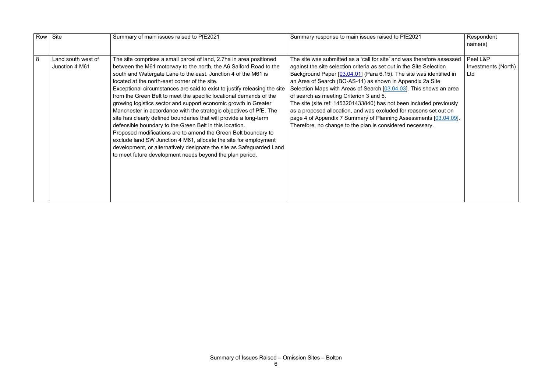|   | Row Site                             | Summary of main issues raised to PfE2021                                                                                                                                                                                                                                                                                                                                                                                                                                                                                                                                                                                                                                                                                                                                                                                                                                                                                                                          | Summary response to main issues raised to PfE2021                                                                                                                                                                                                                                                                                                                                                                                                                                                                                                                                                                                                                                | Respondent<br>name(s)                  |
|---|--------------------------------------|-------------------------------------------------------------------------------------------------------------------------------------------------------------------------------------------------------------------------------------------------------------------------------------------------------------------------------------------------------------------------------------------------------------------------------------------------------------------------------------------------------------------------------------------------------------------------------------------------------------------------------------------------------------------------------------------------------------------------------------------------------------------------------------------------------------------------------------------------------------------------------------------------------------------------------------------------------------------|----------------------------------------------------------------------------------------------------------------------------------------------------------------------------------------------------------------------------------------------------------------------------------------------------------------------------------------------------------------------------------------------------------------------------------------------------------------------------------------------------------------------------------------------------------------------------------------------------------------------------------------------------------------------------------|----------------------------------------|
| 8 | Land south west of<br>Junction 4 M61 | The site comprises a small parcel of land, 2.7ha in area positioned<br>between the M61 motorway to the north, the A6 Salford Road to the<br>south and Watergate Lane to the east. Junction 4 of the M61 is<br>located at the north-east corner of the site.<br>Exceptional circumstances are said to exist to justify releasing the site<br>from the Green Belt to meet the specific locational demands of the<br>growing logistics sector and support economic growth in Greater<br>Manchester in accordance with the strategic objectives of PfE. The<br>site has clearly defined boundaries that will provide a long-term<br>defensible boundary to the Green Belt in this location.<br>Proposed modifications are to amend the Green Belt boundary to<br>exclude land SW Junction 4 M61, allocate the site for employment<br>development, or alternatively designate the site as Safeguarded Land<br>to meet future development needs beyond the plan period. | The site was submitted as a 'call for site' and was therefore assessed<br>against the site selection criteria as set out in the Site Selection<br>Background Paper [03.04.01] (Para 6.15). The site was identified in<br>an Area of Search (BO-AS-11) as shown in Appendix 2a Site<br>Selection Maps with Areas of Search [03.04.03]. This shows an area<br>of search as meeting Criterion 3 and 5.<br>The site (site ref: 1453201433840) has not been included previously<br>as a proposed allocation, and was excluded for reasons set out on<br>page 4 of Appendix 7 Summary of Planning Assessments [03.04.09].<br>Therefore, no change to the plan is considered necessary. | Peel L&P<br>Investments (North)<br>Ltd |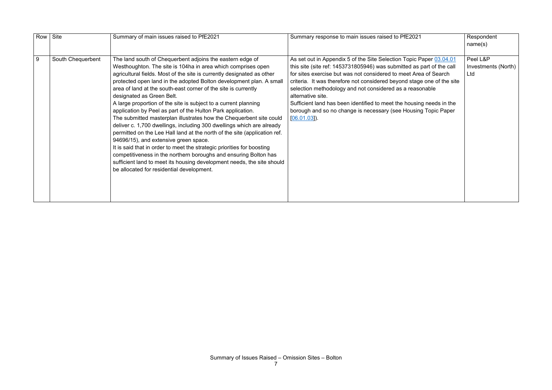|   | Row Site          | Summary of main issues raised to PfE2021                                                                                                                                                                                                                                                                                                                                                                                                                                                                                                                                                                                                                                                                                                                                                                                                                                                                                                                                                                                                               | Summary response to main issues raised to PfE2021                                                                                                                                                                                                                                                                                                                                                                                                                                                                                   | Respondent<br>name(s)                  |
|---|-------------------|--------------------------------------------------------------------------------------------------------------------------------------------------------------------------------------------------------------------------------------------------------------------------------------------------------------------------------------------------------------------------------------------------------------------------------------------------------------------------------------------------------------------------------------------------------------------------------------------------------------------------------------------------------------------------------------------------------------------------------------------------------------------------------------------------------------------------------------------------------------------------------------------------------------------------------------------------------------------------------------------------------------------------------------------------------|-------------------------------------------------------------------------------------------------------------------------------------------------------------------------------------------------------------------------------------------------------------------------------------------------------------------------------------------------------------------------------------------------------------------------------------------------------------------------------------------------------------------------------------|----------------------------------------|
| 9 | South Chequerbent | The land south of Chequerbent adjoins the eastern edge of<br>Westhoughton. The site is 104ha in area which comprises open<br>agricultural fields. Most of the site is currently designated as other<br>protected open land in the adopted Bolton development plan. A small<br>area of land at the south-east corner of the site is currently<br>designated as Green Belt.<br>A large proportion of the site is subject to a current planning<br>application by Peel as part of the Hulton Park application.<br>The submitted masterplan illustrates how the Chequerbent site could<br>deliver c. 1,700 dwellings, including 300 dwellings which are already<br>permitted on the Lee Hall land at the north of the site (application ref.<br>94696/15), and extensive green space.<br>It is said that in order to meet the strategic priorities for boosting<br>competitiveness in the northern boroughs and ensuring Bolton has<br>sufficient land to meet its housing development needs, the site should<br>be allocated for residential development. | As set out in Appendix 5 of the Site Selection Topic Paper 03.04.01<br>this site (site ref: 1453731805946) was submitted as part of the call<br>for sites exercise but was not considered to meet Area of Search<br>criteria. It was therefore not considered beyond stage one of the site<br>selection methodology and not considered as a reasonable<br>alternative site.<br>Sufficient land has been identified to meet the housing needs in the<br>borough and so no change is necessary (see Housing Topic Paper<br>[06.01.03] | Peel L&P<br>Investments (North)<br>Ltd |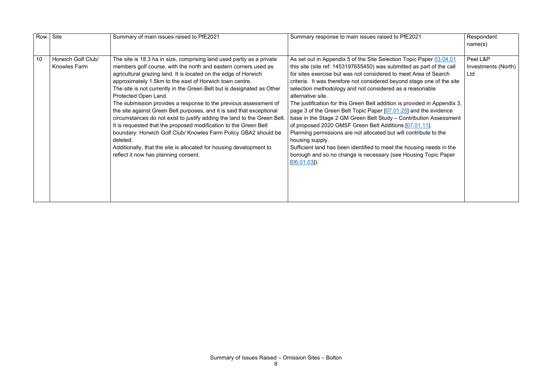|    | Row Site                                  | Summary of main issues raised to PfE2021                                                                                                                                                                                                                                                                                                                                                                                                                                                                                                                                                                                                                                                                                                                                                                                                                            | Summary response to main issues raised to PfE2021                                                                                                                                                                                                                                                                                                                                                                                                                                                                                                                                                                                                                                                                                                                                                                                                                                                           | Respondent<br>name(s)                  |
|----|-------------------------------------------|---------------------------------------------------------------------------------------------------------------------------------------------------------------------------------------------------------------------------------------------------------------------------------------------------------------------------------------------------------------------------------------------------------------------------------------------------------------------------------------------------------------------------------------------------------------------------------------------------------------------------------------------------------------------------------------------------------------------------------------------------------------------------------------------------------------------------------------------------------------------|-------------------------------------------------------------------------------------------------------------------------------------------------------------------------------------------------------------------------------------------------------------------------------------------------------------------------------------------------------------------------------------------------------------------------------------------------------------------------------------------------------------------------------------------------------------------------------------------------------------------------------------------------------------------------------------------------------------------------------------------------------------------------------------------------------------------------------------------------------------------------------------------------------------|----------------------------------------|
| 10 | Horwich Golf Club/<br><b>Knowles Farm</b> | The site is 18.3 ha in size, comprising land used partly as a private<br>members golf course, with the north and eastern corners used as<br>agricultural grazing land. It is located on the edge of Horwich<br>approximately 1.5km to the east of Horwich town centre.<br>The site is not currently in the Green Belt but is designated as Other<br>Protected Open Land.<br>The submission provides a response to the previous assessment of<br>the site against Green Belt purposes, and it is said that exceptional<br>circumstances do not exist to justify adding the land to the Green Belt.<br>It is requested that the proposed modification to the Green Belt<br>boundary: Horwich Golf Club/ Knowles Farm Policy GBA2 should be<br>deleted.<br>Additionally, that the site is allocated for housing development to<br>reflect it now has planning consent. | As set out in Appendix 5 of the Site Selection Topic Paper 03.04.01<br>this site (site ref: 1453197655450) was submitted as part of the call<br>for sites exercise but was not considered to meet Area of Search<br>criteria. It was therefore not considered beyond stage one of the site<br>selection methodology and not considered as a reasonable<br>alternative site.<br>The justification for this Green Belt addition is provided in Appendix 3,<br>page 3 of the Green Belt Topic Paper [07.01.25] and the evidence<br>base in the Stage 2 GM Green Belt Study - Contribution Assessment<br>of proposed 2020 GMSF Green Belt Additions [07.01.11].<br>Planning permissions are not allocated but will contribute to the<br>housing supply.<br>Sufficient land has been identified to meet the housing needs in the<br>borough and so no change is necessary (see Housing Topic Paper<br>[06.01.03] | Peel L&P<br>Investments (North)<br>Ltd |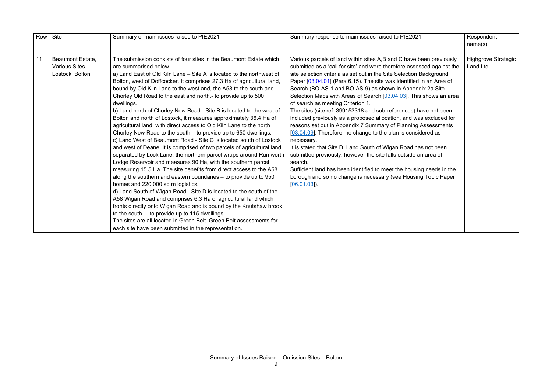|    | Row Site                                                     | Summary of main issues raised to PfE2021                                                                                                                                                                                                                                                                                                                                                                                                                                                                                                                                                                                                                                                                                                                                                                                                                                                                                                                                                                                                                                                                                                                                                                                                                                                                                                                                                                                                                                                                                                                        | Summary response to main issues raised to PfE2021                                                                                                                                                                                                                                                                                                                                                                                                                                                                                                                                                                                                                                                                                                                                                                                                                                                                                                                                                                                                                      | Respondent<br>name(s)                  |
|----|--------------------------------------------------------------|-----------------------------------------------------------------------------------------------------------------------------------------------------------------------------------------------------------------------------------------------------------------------------------------------------------------------------------------------------------------------------------------------------------------------------------------------------------------------------------------------------------------------------------------------------------------------------------------------------------------------------------------------------------------------------------------------------------------------------------------------------------------------------------------------------------------------------------------------------------------------------------------------------------------------------------------------------------------------------------------------------------------------------------------------------------------------------------------------------------------------------------------------------------------------------------------------------------------------------------------------------------------------------------------------------------------------------------------------------------------------------------------------------------------------------------------------------------------------------------------------------------------------------------------------------------------|------------------------------------------------------------------------------------------------------------------------------------------------------------------------------------------------------------------------------------------------------------------------------------------------------------------------------------------------------------------------------------------------------------------------------------------------------------------------------------------------------------------------------------------------------------------------------------------------------------------------------------------------------------------------------------------------------------------------------------------------------------------------------------------------------------------------------------------------------------------------------------------------------------------------------------------------------------------------------------------------------------------------------------------------------------------------|----------------------------------------|
| 11 | <b>Beaumont Estate,</b><br>Various Sites,<br>Lostock, Bolton | The submission consists of four sites in the Beaumont Estate which<br>are summarised below.<br>a) Land East of Old Kiln Lane - Site A is located to the northwest of<br>Bolton, west of Doffcocker. It comprises 27.3 Ha of agricultural land,<br>bound by Old Kiln Lane to the west and, the A58 to the south and<br>Chorley Old Road to the east and north - to provide up to 500<br>dwellings.<br>b) Land north of Chorley New Road - Site B is located to the west of<br>Bolton and north of Lostock, it measures approximately 36.4 Ha of<br>agricultural land, with direct access to Old Kiln Lane to the north<br>Chorley New Road to the south – to provide up to 650 dwellings.<br>c) Land West of Beaumont Road - Site C is located south of Lostock<br>and west of Deane. It is comprised of two parcels of agricultural land<br>separated by Lock Lane, the northern parcel wraps around Rumworth<br>Lodge Reservoir and measures 90 Ha, with the southern parcel<br>measuring 15.5 Ha. The site benefits from direct access to the A58<br>along the southern and eastern boundaries – to provide up to 950<br>homes and 220,000 sq m logistics.<br>d) Land South of Wigan Road - Site D is located to the south of the<br>A58 Wigan Road and comprises 6.3 Ha of agricultural land which<br>fronts directly onto Wigan Road and is bound by the Knutshaw brook<br>to the south. $-$ to provide up to 115 dwellings.<br>The sites are all located in Green Belt. Green Belt assessments for<br>each site have been submitted in the representation. | Various parcels of land within sites A,B and C have been previously<br>submitted as a 'call for site' and were therefore assessed against the<br>site selection criteria as set out in the Site Selection Background<br>Paper [03.04.01] (Para 6.15). The site was identified in an Area of<br>Search (BO-AS-1 and BO-AS-9) as shown in Appendix 2a Site<br>Selection Maps with Areas of Search [03.04.03]. This shows an area<br>of search as meeting Criterion 1.<br>The sites (site ref: 399153318 and sub-references) have not been<br>included previously as a proposed allocation, and was excluded for<br>reasons set out in Appendix 7 Summary of Planning Assessments<br>[03.04.09]. Therefore, no change to the plan is considered as<br>necessary.<br>It is stated that Site D, Land South of Wigan Road has not been<br>submitted previously, however the site falls outside an area of<br>search.<br>Sufficient land has been identified to meet the housing needs in the<br>borough and so no change is necessary (see Housing Topic Paper<br>[06.01.03] | Highgrove Strategic<br><b>Land Ltd</b> |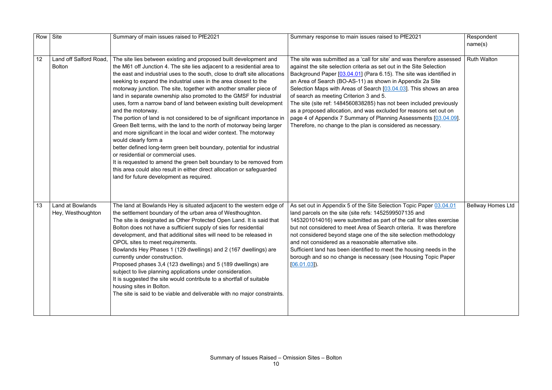| Row | Site                                         | Summary of main issues raised to PfE2021                                                                                                                                                                                                                                                                                                                                                                                                                                                                                                                                                                                                                                                                                                                                                                                                                                                                                                                                                                                                                                                                | Summary response to main issues raised to PfE2021                                                                                                                                                                                                                                                                                                                                                                                                                                                                                                                                                                                                                                   | Respondent<br>name(s)    |
|-----|----------------------------------------------|---------------------------------------------------------------------------------------------------------------------------------------------------------------------------------------------------------------------------------------------------------------------------------------------------------------------------------------------------------------------------------------------------------------------------------------------------------------------------------------------------------------------------------------------------------------------------------------------------------------------------------------------------------------------------------------------------------------------------------------------------------------------------------------------------------------------------------------------------------------------------------------------------------------------------------------------------------------------------------------------------------------------------------------------------------------------------------------------------------|-------------------------------------------------------------------------------------------------------------------------------------------------------------------------------------------------------------------------------------------------------------------------------------------------------------------------------------------------------------------------------------------------------------------------------------------------------------------------------------------------------------------------------------------------------------------------------------------------------------------------------------------------------------------------------------|--------------------------|
| 12  | Land off Salford Road,<br><b>Bolton</b>      | The site lies between existing and proposed built development and<br>the M61 off Junction 4. The site lies adjacent to a residential area to<br>the east and industrial uses to the south, close to draft site allocations<br>seeking to expand the industrial uses in the area closest to the<br>motorway junction. The site, together with another smaller piece of<br>land in separate ownership also promoted to the GMSF for industrial<br>uses, form a narrow band of land between existing built development<br>and the motorway.<br>The portion of land is not considered to be of significant importance in<br>Green Belt terms, with the land to the north of motorway being larger<br>and more significant in the local and wider context. The motorway<br>would clearly form a<br>better defined long-term green belt boundary, potential for industrial<br>or residential or commercial uses.<br>It is requested to amend the green belt boundary to be removed from<br>this area could also result in either direct allocation or safeguarded<br>land for future development as required. | The site was submitted as a 'call for site' and was therefore assessed<br>against the site selection criteria as set out in the Site Selection<br>Background Paper [03.04.01] (Para 6.15). The site was identified in<br>an Area of Search (BO-AS-11) as shown in Appendix 2a Site<br>Selection Maps with Areas of Search [03.04.03]. This shows an area<br>of search as meeting Criterion 3 and 5.<br>The site (site ref: 1484560838285) has not been included previously<br>as a proposed allocation, and was excluded for reasons set out on<br>page 4 of Appendix 7 Summary of Planning Assessments [03.04.09].<br>Therefore, no change to the plan is considered as necessary. | <b>Ruth Walton</b>       |
| 13  | <b>Land at Bowlands</b><br>Hey, Westhoughton | The land at Bowlands Hey is situated adjacent to the western edge of<br>the settlement boundary of the urban area of Westhoughton.<br>The site is designated as Other Protected Open Land. It is said that<br>Bolton does not have a sufficient supply of sies for residential<br>development, and that additional sites will need to be released in<br>OPOL sites to meet requirements.<br>Bowlands Hey Phases 1 (129 dwellings) and 2 (167 dwellings) are<br>currently under construction.<br>Proposed phases 3,4 (123 dwellings) and 5 (189 dwellings) are<br>subject to live planning applications under consideration.<br>It is suggested the site would contribute to a shortfall of suitable<br>housing sites in Bolton.<br>The site is said to be viable and deliverable with no major constraints.                                                                                                                                                                                                                                                                                             | As set out in Appendix 5 of the Site Selection Topic Paper 03.04.01<br>land parcels on the site (site refs: 1452599507135 and<br>1453201014016) were submitted as part of the call for sites exercise<br>but not considered to meet Area of Search criteria. It was therefore<br>not considered beyond stage one of the site selection methodology<br>and not considered as a reasonable alternative site.<br>Sufficient land has been identified to meet the housing needs in the<br>borough and so no change is necessary (see Housing Topic Paper<br>[06.01.03]                                                                                                                  | <b>Bellway Homes Ltd</b> |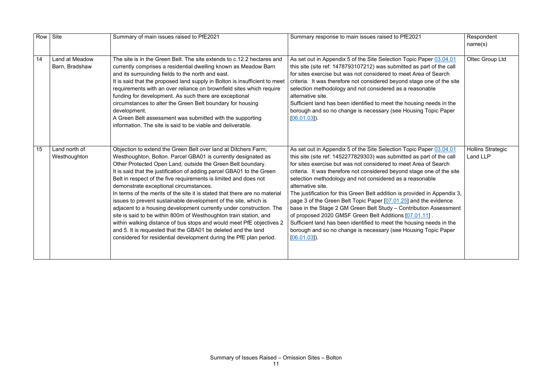| Row | Site                             | Summary of main issues raised to PfE2021                                                                                                                                                                                                                                                                                                                                                                                                                                                                                                                                                                                                                                                                                                                                                                                                                                                          | Summary response to main issues raised to PfE2021                                                                                                                                                                                                                                                                                                                                                                                                                                                                                                                                                                                                                                                                                                                                                                       | Respondent<br>name(s)                |
|-----|----------------------------------|---------------------------------------------------------------------------------------------------------------------------------------------------------------------------------------------------------------------------------------------------------------------------------------------------------------------------------------------------------------------------------------------------------------------------------------------------------------------------------------------------------------------------------------------------------------------------------------------------------------------------------------------------------------------------------------------------------------------------------------------------------------------------------------------------------------------------------------------------------------------------------------------------|-------------------------------------------------------------------------------------------------------------------------------------------------------------------------------------------------------------------------------------------------------------------------------------------------------------------------------------------------------------------------------------------------------------------------------------------------------------------------------------------------------------------------------------------------------------------------------------------------------------------------------------------------------------------------------------------------------------------------------------------------------------------------------------------------------------------------|--------------------------------------|
| 14  | Land at Meadow<br>Barn, Bradshaw | The site is in the Green Belt. The site extends to c.12.2 hectares and<br>currently comprises a residential dwelling known as Meadow Barn<br>and its surrounding fields to the north and east.<br>It is said that the proposed land supply in Bolton is insufficient to meet<br>requirements with an over reliance on brownfield sites which require<br>funding for development. As such there are exceptional<br>circumstances to alter the Green Belt boundary for housing<br>development.<br>A Green Belt assessment was submitted with the supporting<br>information. The site is said to be viable and deliverable.                                                                                                                                                                                                                                                                          | As set out in Appendix 5 of the Site Selection Topic Paper 03.04.01<br>this site (site ref: 1478793107212) was submitted as part of the call<br>for sites exercise but was not considered to meet Area of Search<br>criteria. It was therefore not considered beyond stage one of the site<br>selection methodology and not considered as a reasonable<br>alternative site.<br>Sufficient land has been identified to meet the housing needs in the<br>borough and so no change is necessary (see Housing Topic Paper<br>$[06.01.03]$ .                                                                                                                                                                                                                                                                                 | Oltec Group Ltd                      |
| 15  | Land north of<br>Westhoughton    | Objection to extend the Green Belt over land at Ditchers Farm,<br>Westhoughton, Bolton. Parcel GBA01 is currently designated as<br>Other Protected Open Land, outside the Green Belt boundary.<br>It is said that the justification of adding parcel GBA01 to the Green<br>Belt in respect of the five requirements is limited and does not<br>demonstrate exceptional circumstances.<br>In terms of the merits of the site it is stated that there are no material<br>issues to prevent sustainable development of the site, which is<br>adjacent to a housing development currently under construction. The<br>site is said to be within 800m of Westhoughton train station, and<br>within walking distance of bus stops and would meet PfE objectives 2<br>and 5. It is requested that the GBA01 be deleted and the land<br>considered for residential development during the PfE plan period. | As set out in Appendix 5 of the Site Selection Topic Paper 03.04.01<br>this site (site ref: 1452277829303) was submitted as part of the call<br>for sites exercise but was not considered to meet Area of Search<br>criteria. It was therefore not considered beyond stage one of the site<br>selection methodology and not considered as a reasonable<br>alternative site.<br>The justification for this Green Belt addition is provided in Appendix 3,<br>page 3 of the Green Belt Topic Paper [07.01.25] and the evidence<br>base in the Stage 2 GM Green Belt Study - Contribution Assessment<br>of proposed 2020 GMSF Green Belt Additions [07.01.11].<br>Sufficient land has been identified to meet the housing needs in the<br>borough and so no change is necessary (see Housing Topic Paper<br>$[06.01.03]$ . | <b>Hollins Strategic</b><br>Land LLP |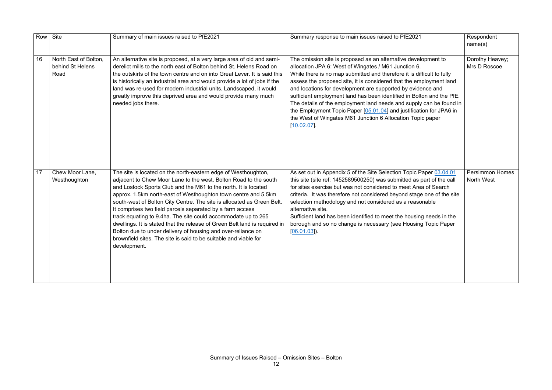| Row | Site                                              | Summary of main issues raised to PfE2021                                                                                                                                                                                                                                                                                                                                                                                                                                                                                                                                                                                                                                                                          | Summary response to main issues raised to PfE2021                                                                                                                                                                                                                                                                                                                                                                                                                                                                                                                                                                                         | Respondent<br>name(s)                       |
|-----|---------------------------------------------------|-------------------------------------------------------------------------------------------------------------------------------------------------------------------------------------------------------------------------------------------------------------------------------------------------------------------------------------------------------------------------------------------------------------------------------------------------------------------------------------------------------------------------------------------------------------------------------------------------------------------------------------------------------------------------------------------------------------------|-------------------------------------------------------------------------------------------------------------------------------------------------------------------------------------------------------------------------------------------------------------------------------------------------------------------------------------------------------------------------------------------------------------------------------------------------------------------------------------------------------------------------------------------------------------------------------------------------------------------------------------------|---------------------------------------------|
| 16  | North East of Bolton,<br>behind St Helens<br>Road | An alternative site is proposed, at a very large area of old and semi-<br>derelict mills to the north east of Bolton behind St. Helens Road on<br>the outskirts of the town centre and on into Great Lever. It is said this<br>is historically an industrial area and would provide a lot of jobs if the<br>land was re-used for modern industrial units. Landscaped, it would<br>greatly improve this deprived area and would provide many much<br>needed jobs there.                                                                                                                                                                                                                                            | The omission site is proposed as an alternative development to<br>allocation JPA 6: West of Wingates / M61 Junction 6.<br>While there is no map submitted and therefore it is difficult to fully<br>assess the proposed site, it is considered that the employment land<br>and locations for development are supported by evidence and<br>sufficient employment land has been identified in Bolton and the PfE.<br>The details of the employment land needs and supply can be found in<br>the Employment Topic Paper [05.01.04] and justification for JPA6 in<br>the West of Wingates M61 Junction 6 Allocation Topic paper<br>[10.02.07] | Dorothy Heavey;<br>Mrs D Roscoe             |
| 17  | Chew Moor Lane,<br>Westhoughton                   | The site is located on the north-eastern edge of Westhoughton,<br>adjacent to Chew Moor Lane to the west, Bolton Road to the south<br>and Lostock Sports Club and the M61 to the north. It is located<br>approx. 1.5km north-east of Westhoughton town centre and 5.5km<br>south-west of Bolton City Centre. The site is allocated as Green Belt.<br>It comprises two field parcels separated by a farm access<br>track equating to 9.4ha. The site could accommodate up to 265<br>dwellings. It is stated that the release of Green Belt land is required in<br>Bolton due to under delivery of housing and over-reliance on<br>brownfield sites. The site is said to be suitable and viable for<br>development. | As set out in Appendix 5 of the Site Selection Topic Paper 03.04.01<br>this site (site ref: 1452589500250) was submitted as part of the call<br>for sites exercise but was not considered to meet Area of Search<br>criteria. It was therefore not considered beyond stage one of the site<br>selection methodology and not considered as a reasonable<br>alternative site.<br>Sufficient land has been identified to meet the housing needs in the<br>borough and so no change is necessary (see Housing Topic Paper<br>$[06.01.03]$ .                                                                                                   | <b>Persimmon Homes</b><br><b>North West</b> |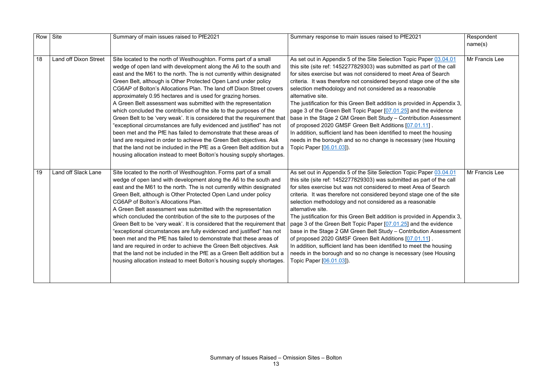| Row | Site                         | Summary of main issues raised to PfE2021                                                                                                                                                                                                                                                                                                                                                                                                                                                                                                                                                                                                                                                                                                                                                                                                                                                                                                                                                                               | Summary response to main issues raised to PfE2021                                                                                                                                                                                                                                                                                                                                                                                                                                                                                                                                                                                                                                                                                                                                                                                  | Respondent<br>name(s) |
|-----|------------------------------|------------------------------------------------------------------------------------------------------------------------------------------------------------------------------------------------------------------------------------------------------------------------------------------------------------------------------------------------------------------------------------------------------------------------------------------------------------------------------------------------------------------------------------------------------------------------------------------------------------------------------------------------------------------------------------------------------------------------------------------------------------------------------------------------------------------------------------------------------------------------------------------------------------------------------------------------------------------------------------------------------------------------|------------------------------------------------------------------------------------------------------------------------------------------------------------------------------------------------------------------------------------------------------------------------------------------------------------------------------------------------------------------------------------------------------------------------------------------------------------------------------------------------------------------------------------------------------------------------------------------------------------------------------------------------------------------------------------------------------------------------------------------------------------------------------------------------------------------------------------|-----------------------|
| 18  | <b>Land off Dixon Street</b> | Site located to the north of Westhoughton. Forms part of a small<br>wedge of open land with development along the A6 to the south and<br>east and the M61 to the north. The is not currently within designated<br>Green Belt, although is Other Protected Open Land under policy<br>CG6AP of Bolton's Allocations Plan. The land off Dixon Street covers<br>approximately 0.95 hectares and is used for grazing horses.<br>A Green Belt assessment was submitted with the representation<br>which concluded the contribution of the site to the purposes of the<br>Green Belt to be 'very weak'. It is considered that the requirement that<br>'exceptional circumstances are fully evidenced and justified" has not<br>been met and the PfE has failed to demonstrate that these areas of<br>land are required in order to achieve the Green Belt objectives. Ask<br>that the land not be included in the PfE as a Green Belt addition but a<br>housing allocation instead to meet Bolton's housing supply shortages. | As set out in Appendix 5 of the Site Selection Topic Paper 03.04.01<br>this site (site ref: 1452277829303) was submitted as part of the call<br>for sites exercise but was not considered to meet Area of Search<br>criteria. It was therefore not considered beyond stage one of the site<br>selection methodology and not considered as a reasonable<br>alternative site.<br>The justification for this Green Belt addition is provided in Appendix 3,<br>page 3 of the Green Belt Topic Paper [07.01.25] and the evidence<br>base in the Stage 2 GM Green Belt Study - Contribution Assessment<br>of proposed 2020 GMSF Green Belt Additions [07.01.11].<br>In addition, sufficient land has been identified to meet the housing<br>needs in the borough and so no change is necessary (see Housing<br>Topic Paper [06.01.03]). | Mr Francis Lee        |
| 19  | Land off Slack Lane          | Site located to the north of Westhoughton. Forms part of a small<br>wedge of open land with development along the A6 to the south and<br>east and the M61 to the north. The is not currently within designated<br>Green Belt, although is Other Protected Open Land under policy<br>CG6AP of Bolton's Allocations Plan.<br>A Green Belt assessment was submitted with the representation<br>which concluded the contribution of the site to the purposes of the<br>Green Belt to be 'very weak'. It is considered that the requirement that<br>'exceptional circumstances are fully evidenced and justified" has not<br>been met and the PfE has failed to demonstrate that these areas of<br>land are required in order to achieve the Green Belt objectives. Ask<br>that the land not be included in the PfE as a Green Belt addition but a<br>housing allocation instead to meet Bolton's housing supply shortages.                                                                                                 | As set out in Appendix 5 of the Site Selection Topic Paper 03.04.01<br>this site (site ref: 1452277829303) was submitted as part of the call<br>for sites exercise but was not considered to meet Area of Search<br>criteria. It was therefore not considered beyond stage one of the site<br>selection methodology and not considered as a reasonable<br>alternative site.<br>The justification for this Green Belt addition is provided in Appendix 3,<br>page 3 of the Green Belt Topic Paper [07.01.25] and the evidence<br>base in the Stage 2 GM Green Belt Study - Contribution Assessment<br>of proposed 2020 GMSF Green Belt Additions [07.01.11]<br>In addition, sufficient land has been identified to meet the housing<br>needs in the borough and so no change is necessary (see Housing<br>Topic Paper [06.01.03]).  | Mr Francis Lee        |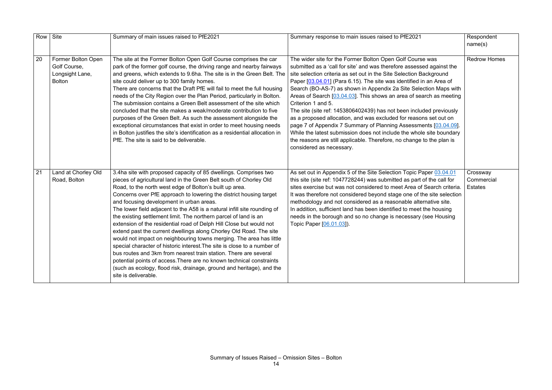| Row | Site                                                                   | Summary of main issues raised to PfE2021                                                                                                                                                                                                                                                                                                                                                                                                                                                                                                                                                                                                                                                                                                                                                                                                                                                                                                                                                                         | Summary response to main issues raised to PfE2021                                                                                                                                                                                                                                                                                                                                                                                                                                                                                                                                                                                                                                                                                                                                                                                               | Respondent<br>name(s)                    |
|-----|------------------------------------------------------------------------|------------------------------------------------------------------------------------------------------------------------------------------------------------------------------------------------------------------------------------------------------------------------------------------------------------------------------------------------------------------------------------------------------------------------------------------------------------------------------------------------------------------------------------------------------------------------------------------------------------------------------------------------------------------------------------------------------------------------------------------------------------------------------------------------------------------------------------------------------------------------------------------------------------------------------------------------------------------------------------------------------------------|-------------------------------------------------------------------------------------------------------------------------------------------------------------------------------------------------------------------------------------------------------------------------------------------------------------------------------------------------------------------------------------------------------------------------------------------------------------------------------------------------------------------------------------------------------------------------------------------------------------------------------------------------------------------------------------------------------------------------------------------------------------------------------------------------------------------------------------------------|------------------------------------------|
| 20  | Former Bolton Open<br>Golf Course,<br>Longsight Lane,<br><b>Bolton</b> | The site at the Former Bolton Open Golf Course comprises the car<br>park of the former golf course, the driving range and nearby fairways<br>and greens, which extends to 9.6ha. The site is in the Green Belt. The<br>site could deliver up to 300 family homes.<br>There are concerns that the Draft PfE will fail to meet the full housing<br>needs of the City Region over the Plan Period, particularly in Bolton.<br>The submission contains a Green Belt assessment of the site which<br>concluded that the site makes a weak/moderate contribution to five<br>purposes of the Green Belt. As such the assessment alongside the<br>exceptional circumstances that exist in order to meet housing needs<br>in Bolton justifies the site's identification as a residential allocation in<br>PfE. The site is said to be deliverable.                                                                                                                                                                        | The wider site for the Former Bolton Open Golf Course was<br>submitted as a 'call for site' and was therefore assessed against the<br>site selection criteria as set out in the Site Selection Background<br>Paper [03.04.01] (Para 6.15). The site was identified in an Area of<br>Search (BO-AS-7) as shown in Appendix 2a Site Selection Maps with<br>Areas of Search [03.04.03]. This shows an area of search as meeting<br>Criterion 1 and 5.<br>The site (site ref: 1453806402439) has not been included previously<br>as a proposed allocation, and was excluded for reasons set out on<br>page 7 of Appendix 7 Summary of Planning Assessments [03.04.09].<br>While the latest submission does not include the whole site boundary<br>the reasons are still applicable. Therefore, no change to the plan is<br>considered as necessary. | <b>Redrow Homes</b>                      |
| 21  | Land at Chorley Old<br>Road, Bolton                                    | 3.4ha site with proposed capacity of 85 dwellings. Comprises two<br>pieces of agricultural land in the Green Belt south of Chorley Old<br>Road, to the north west edge of Bolton's built up area.<br>Concerns over PfE approach to lowering the district housing target<br>and focusing development in urban areas.<br>The lower field adjacent to the A58 is a natural infill site rounding of<br>the existing settlement limit. The northern parcel of land is an<br>extension of the residential road of Delph Hill Close but would not<br>extend past the current dwellings along Chorley Old Road. The site<br>would not impact on neighbouring towns merging. The area has little<br>special character of historic interest. The site is close to a number of<br>bus routes and 3km from nearest train station. There are several<br>potential points of access. There are no known technical constraints<br>(such as ecology, flood risk, drainage, ground and heritage), and the<br>site is deliverable. | As set out in Appendix 5 of the Site Selection Topic Paper 03.04.01<br>this site (site ref: 1047728244) was submitted as part of the call for<br>sites exercise but was not considered to meet Area of Search criteria.<br>It was therefore not considered beyond stage one of the site selection<br>methodology and not considered as a reasonable alternative site.<br>In addition, sufficient land has been identified to meet the housing<br>needs in the borough and so no change is necessary (see Housing<br>Topic Paper [06.01.03]).                                                                                                                                                                                                                                                                                                    | Crossway<br>Commercial<br><b>Estates</b> |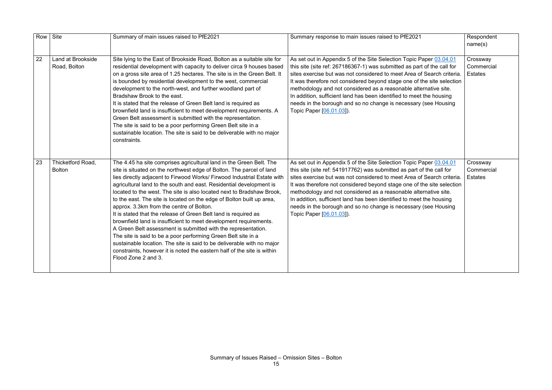| $\overline{21}$                                                                                                                               | Respondent<br>name(s)                    |
|-----------------------------------------------------------------------------------------------------------------------------------------------|------------------------------------------|
| Paper 03.04.01<br>art of the call for<br>of Search criteria.<br>f the site selection<br>Iternative site.<br>et the housing<br>ry (see Housing | Crossway<br>Commercial<br><b>Estates</b> |
| Paper 03.04.01<br>t of the call for<br>of Search criteria.<br>f the site selection<br>Iternative site.<br>et the housing<br>ry (see Housing   | Crossway<br>Commercial<br><b>Estates</b> |

| <b>Row</b> | Site                               | Summary of main issues raised to PfE2021                                                                                                                                                                                                                                                                                                                                                                                                                                                                                                                                                                                                                                                                                                                                                                                                                                                                                                          | Summary response to main issues raised to PfE2021                                                                                                                                                                                                                                                                                                                                                                                                                                                                                             | Respondent<br>name(s)                    |
|------------|------------------------------------|---------------------------------------------------------------------------------------------------------------------------------------------------------------------------------------------------------------------------------------------------------------------------------------------------------------------------------------------------------------------------------------------------------------------------------------------------------------------------------------------------------------------------------------------------------------------------------------------------------------------------------------------------------------------------------------------------------------------------------------------------------------------------------------------------------------------------------------------------------------------------------------------------------------------------------------------------|-----------------------------------------------------------------------------------------------------------------------------------------------------------------------------------------------------------------------------------------------------------------------------------------------------------------------------------------------------------------------------------------------------------------------------------------------------------------------------------------------------------------------------------------------|------------------------------------------|
| 22         | Land at Brookside<br>Road, Bolton  | Site lying to the East of Brookside Road, Bolton as a suitable site for<br>residential development with capacity to deliver circa 9 houses based<br>on a gross site area of 1.25 hectares. The site is in the Green Belt. It<br>is bounded by residential development to the west, commercial<br>development to the north-west, and further woodland part of<br>Bradshaw Brook to the east.<br>It is stated that the release of Green Belt land is required as<br>brownfield land is insufficient to meet development requirements. A<br>Green Belt assessment is submitted with the representation.<br>The site is said to be a poor performing Green Belt site in a<br>sustainable location. The site is said to be deliverable with no major<br>constraints.                                                                                                                                                                                   | As set out in Appendix 5 of the Site Selection Topic Paper 03.04.01<br>this site (site ref: 267186367-1) was submitted as part of the call for<br>sites exercise but was not considered to meet Area of Search criteria.<br>It was therefore not considered beyond stage one of the site selection<br>methodology and not considered as a reasonable alternative site.<br>In addition, sufficient land has been identified to meet the housing<br>needs in the borough and so no change is necessary (see Housing<br>Topic Paper [06.01.03]). | Crossway<br>Commercial<br><b>Estates</b> |
| 23         | Thicketford Road,<br><b>Bolton</b> | The 4.45 ha site comprises agricultural land in the Green Belt. The<br>site is situated on the northwest edge of Bolton. The parcel of land<br>lies directly adjacent to Firwood Works/ Firwood Industrial Estate with<br>agricultural land to the south and east. Residential development is<br>located to the west. The site is also located next to Bradshaw Brook,<br>to the east. The site is located on the edge of Bolton built up area,<br>approx. 3.3km from the centre of Bolton.<br>It is stated that the release of Green Belt land is required as<br>brownfield land is insufficient to meet development requirements.<br>A Green Belt assessment is submitted with the representation.<br>The site is said to be a poor performing Green Belt site in a<br>sustainable location. The site is said to be deliverable with no major<br>constraints, however it is noted the eastern half of the site is within<br>Flood Zone 2 and 3. | As set out in Appendix 5 of the Site Selection Topic Paper 03.04.01<br>this site (site ref: 541917762) was submitted as part of the call for<br>sites exercise but was not considered to meet Area of Search criteria.<br>It was therefore not considered beyond stage one of the site selection<br>methodology and not considered as a reasonable alternative site.<br>In addition, sufficient land has been identified to meet the housing<br>needs in the borough and so no change is necessary (see Housing<br>Topic Paper [06.01.03]).   | Crossway<br>Commercial<br><b>Estates</b> |